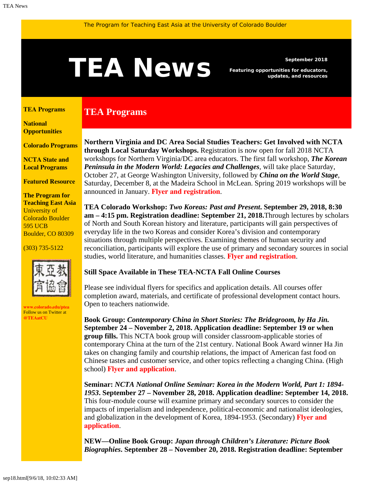# <span id="page-0-1"></span>September 2018<br>**TEAN EWS** Featuring opportunities for educators,<br>updates, and resources

**TEA Programs**

*Featuring opportunities for educators, updates, and resources*

#### <span id="page-0-0"></span>**[TEA Programs](#page-0-0)**

**[National](#page-0-1)  [Opportunities](#page-0-1)**

**[Colorado Programs](#page-0-1)**

**[NCTA State and](#page-2-0) [Local Programs](#page-2-0)**

**[Featured Resource](#page-3-0)**

<span id="page-0-2"></span>**The Program for Teaching East Asia** University of Colorado Boulder 595 UCB Boulder, CO 80309

#### (303) 735-5122



**[www.colorado.edu/ptea](http://www.colorado.edu/cas/tea)** Follow us on Twitter at **[@TEAatCU](https://twitter.com/TEAatCU)**

**Northern Virginia and DC Area Social Studies Teachers: Get Involved with NCTA through Local Saturday Workshops.** Registration is now open for fall 2018 NCTA workshops for Northern Virginia/DC area educators. The first fall workshop, *The Korean Peninsula in the Modern World: Legacies and Challenges*, will take place Saturday, October 27, at George Washington University, followed by *China on the World Stage*, Saturday, December 8, at the Madeira School in McLean. Spring 2019 workshops will be announced in January. **[Flyer and registration](https://www.colorado.edu/ptea/sites/default/files/attached-files/vanctafall2018.pdf)**.

**TEA Colorado Workshop:** *Two Koreas: Past and Present***. September 29, 2018, 8:30 am – 4:15 pm. Registration deadline: September 21, 2018.**Through lectures by scholars of North and South Korean history and literature, participants will gain perspectives of everyday life in the two Koreas and consider Korea's division and contemporary situations through multiple perspectives. Examining themes of human security and reconciliation, participants will explore the use of primary and secondary sources in social studies, world literature, and humanities classes. **[Flyer and registration](https://www.colorado.edu/ptea/sites/default/files/attached-files/korea92918flyer21.pdf)**.

### **Still Space Available in These TEA-NCTA Fall Online Courses**

Please see individual flyers for specifics and application details. All courses offer completion award, materials, and certificate of professional development contact hours. Open to teachers nationwide.

**Book Group:** *Contemporary China in Short Stories: The Bridegroom, by Ha Jin.* **September 24 – November 2, 2018. Application deadline: September 19 or when group fills.** This NCTA book group will consider classroom-applicable stories of contemporary China at the turn of the 21st century. National Book Award winner Ha Jin takes on changing family and courtship relations, the impact of American fast food on Chinese tastes and customer service, and other topics reflecting a changing China. (High school) **[Flyer and application](https://www.colorado.edu/ptea/sites/default/files/attached-files/flyer_bridegroom_book_group_fall_2018.pdf)**.

**Seminar:** *NCTA National Online Seminar: Korea in the Modern World, Part 1: 1894- 1953***. September 27 – November 28, 2018. Application deadline: September 14, 2018.** This four-module course will examine primary and secondary sources to consider the impacts of imperialism and independence, political-economic and nationalist ideologies, and globalization in the development of Korea, 1894-1953. (Secondary) **[Flyer and](https://www.colorado.edu/ptea/sites/default/files/attached-files/2018koreacoursepart1flyer.pdf) [application](https://www.colorado.edu/ptea/sites/default/files/attached-files/2018koreacoursepart1flyer.pdf)**.

**NEW—Online Book Group:** *Japan through Children's Literature: Picture Book Biographies***. September 28 – November 20, 2018. Registration deadline: September**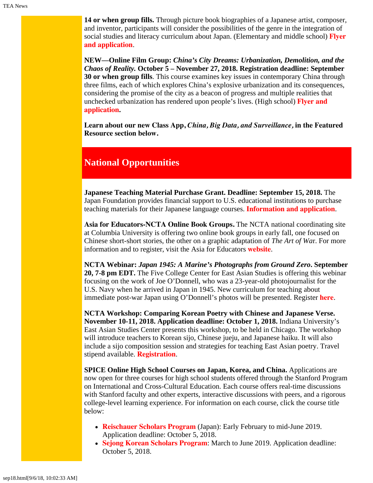**14 or when group fills.** Through picture book biographies of a Japanese artist, composer, and inventor, participants will consider the possibilities of the genre in the integration of social studies and literacy curriculum about Japan. (Elementary and middle school) **[Flyer](https://www.colorado.edu/ptea/sites/default/files/attached-files/fall2018jpkidlitbgflyer.pdf) [and application](https://www.colorado.edu/ptea/sites/default/files/attached-files/fall2018jpkidlitbgflyer.pdf)**.

**NEW—Online Film Group:** *China's City Dreams: Urbanization, Demolition, and the Chaos of Reality.* **October 5 – November 27, 2018. Registration deadline: September 30 or when group fills**. This course examines key issues in contemporary China through three films, each of which explores China's explosive urbanization and its consequences, considering the promise of the city as a beacon of progress and multiple realities that unchecked urbanization has rendered upon people's lives. (High school) **[Flyer and](https://www.colorado.edu/ptea/sites/default/files/attached-files/flyer_china_film18.pdf) [application](https://www.colorado.edu/ptea/sites/default/files/attached-files/flyer_china_film18.pdf).**

**[Learn about our new Class App,](#page-3-1)** *[China, Big Data, and Surveillance,](#page-3-1)* **[in the Featured](#page-3-1) [Resource section below.](#page-3-1)**

## **National Opportunities**

**Japanese Teaching Material Purchase Grant. Deadline: September 15, 2018.** The Japan Foundation provides financial support to U.S. educational institutions to purchase teaching materials for their Japanese language courses. **[Information and application](https://www.jflalc.org/grants-jle-materials)**.

**Asia for Educators-NCTA Online Book Groups.** The NCTA national coordinating site at Columbia University is offering two online book groups in early fall, one focused on Chinese short-short stories, the other on a graphic adaptation of *The Art of Wa*r. For more information and to register, visit the Asia for Educators **[website](http://asiaforeducators.org/course/index.php?categoryid=41)**.

**NCTA Webinar:** *Japan 1945: A Marine's Photographs from Ground Zero***. September 20, 7-8 pm EDT.** The Five College Center for East Asian Studies is offering this webinar focusing on the work of Joe O'Donnell, who was a 23-year-old photojournalist for the U.S. Navy when he arrived in Japan in 1945. New curriculum for teaching about immediate post-war Japan using O'Donnell's photos will be presented. Register **[here](https://attendee.gotowebinar.com/register/6836264516227087106)**.

**NCTA Workshop: Comparing Korean Poetry with Chinese and Japanese Verse. November 10-11, 2018. Application deadline: October 1, 2018.** Indiana University's East Asian Studies Center presents this workshop, to be held in Chicago. The workshop will introduce teachers to Korean sijo, Chinese jueju, and Japanese haiku. It will also include a sijo composition session and strategies for teaching East Asian poetry. Travel stipend available. **[Registration](http://go.iu.edu/24Gj)**.

**SPICE Online High School Courses on Japan, Korea, and China.** Applications are now open for three courses for high school students offered through the Stanford Program on International and Cross-Cultural Education. Each course offers real-time discussions with Stanford faculty and other experts, interactive discussions with peers, and a rigorous college-level learning experience. For information on each course, click the course title below:

- **[Reischauer Scholars Program](https://spice.fsi.stanford.edu/fellowships/reischauer_scholars_program/)** (Japan): Early February to mid-June 2019. Application deadline: October 5, 2018.
- **[Sejong Korean Scholars Program](https://spice.fsi.stanford.edu/fellowships/sejong_korean_scholars_program)**: March to June 2019. Application deadline: October 5, 2018.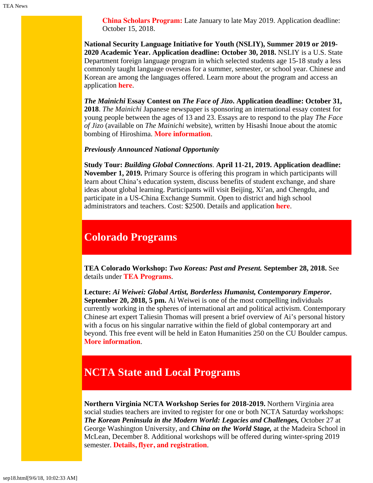**[China Scholars Program:](https://spice.fsi.stanford.edu/fellowship/china-scholars-program)** Late January to late May 2019. Application deadline: October 15, 2018.

**National Security Language Initiative for Youth (NSLIY), Summer 2019 or 2019- 2020 Academic Year. Application deadline: October 30, 2018.** NSLIY is a U.S. State Department foreign language program in which selected students age 15-18 study a less commonly taught language overseas for a summer, semester, or school year. Chinese and Korean are among the languages offered. Learn more about the program and access an application **[here](http://www.nsliforyouth.org/)**.

*The Mainichi* **Essay Contest on** *The Face of Jizo***. Application deadline: October 31, 2018**. *The Mainichi* Japanese newspaper is sponsoring an international essay contest for young people between the ages of 13 and 23. Essays are to respond to the play *The Face of Jizo* (available on *The Mainichi* website), written by Hisashi Inoue about the atomic bombing of Hiroshima. **[More information](https://mainichi.jp/english/articles/20180719/p2a/00m/0na/027000c)**.

#### *Previously Announced National Opportunity*

**Study Tour:** *Building Global Connections*. **April 11-21, 2019. Application deadline: November 1, 2019.** Primary Source is offering this program in which participants will learn about China's education system, discuss benefits of student exchange, and share ideas about global learning. Participants will visit Beijing, Xi'an, and Chengdu, and participate in a US-China Exchange Summit. Open to district and high school administrators and teachers. Cost: \$2500. Details and application **[here](https://www.primarysource.org/for-teachers/study-tours)**.

# **Colorado Programs**

**TEA Colorado Workshop:** *Two Koreas: Past and Present.* **September 28, 2018.** See details under **[TEA Programs](#page-0-2)**.

**Lecture:** *Ai Weiwei: Global Artist, Borderless Humanist, Contemporary Emperor***. September 20, 2018, 5 pm.** Ai Weiwei is one of the most compelling individuals currently working in the spheres of international art and political activism. Contemporary Chinese art expert Taliesin Thomas will present a brief overview of Ai's personal history with a focus on his singular narrative within the field of global contemporary art and beyond. This free event will be held in Eaton Humanities 250 on the CU Boulder campus. **[More information](https://www.colorado.edu/cas/ai-weiwei-global-artist-borderless-humanist-contemporary-emperor-20180920)**.

# <span id="page-2-0"></span>**NCTA State and Local Programs**

**Northern Virginia NCTA Workshop Series for 2018-2019.** Northern Virginia area social studies teachers are invited to register for one or both NCTA Saturday workshops: **The Korean Peninsula in the Modern World: Legacies and Challenges, October 27 at** George Washington University, and *China on the World Stage,* at the Madeira School in McLean, December 8. Additional workshops will be offered during winter-spring 2019 semester. **[Details, flyer, and registration](https://www.colorado.edu/ptea/sites/default/files/attached-files/vanctafall2018.pdf)**.